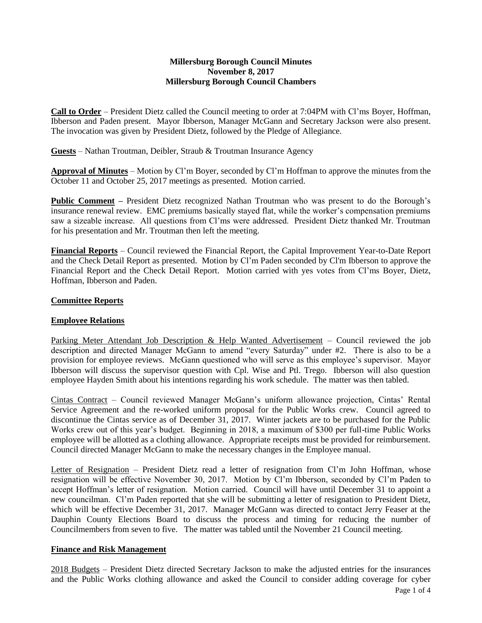## **Millersburg Borough Council Minutes November 8, 2017 Millersburg Borough Council Chambers**

**Call to Order** – President Dietz called the Council meeting to order at 7:04PM with Cl'ms Boyer, Hoffman, Ibberson and Paden present. Mayor Ibberson, Manager McGann and Secretary Jackson were also present. The invocation was given by President Dietz, followed by the Pledge of Allegiance.

**Guests** – Nathan Troutman, Deibler, Straub & Troutman Insurance Agency

**Approval of Minutes** – Motion by Cl'm Boyer, seconded by Cl'm Hoffman to approve the minutes from the October 11 and October 25, 2017 meetings as presented. Motion carried.

**Public Comment** – President Dietz recognized Nathan Troutman who was present to do the Borough's insurance renewal review. EMC premiums basically stayed flat, while the worker's compensation premiums saw a sizeable increase. All questions from Cl'ms were addressed. President Dietz thanked Mr. Troutman for his presentation and Mr. Troutman then left the meeting.

**Financial Reports** – Council reviewed the Financial Report, the Capital Improvement Year-to-Date Report and the Check Detail Report as presented. Motion by Cl'm Paden seconded by Cl'm Ibberson to approve the Financial Report and the Check Detail Report. Motion carried with yes votes from Cl'ms Boyer, Dietz, Hoffman, Ibberson and Paden.

# **Committee Reports**

## **Employee Relations**

Parking Meter Attendant Job Description & Help Wanted Advertisement – Council reviewed the job description and directed Manager McGann to amend "every Saturday" under #2. There is also to be a provision for employee reviews. McGann questioned who will serve as this employee's supervisor. Mayor Ibberson will discuss the supervisor question with Cpl. Wise and Ptl. Trego. Ibberson will also question employee Hayden Smith about his intentions regarding his work schedule. The matter was then tabled.

Cintas Contract – Council reviewed Manager McGann's uniform allowance projection, Cintas' Rental Service Agreement and the re-worked uniform proposal for the Public Works crew. Council agreed to discontinue the Cintas service as of December 31, 2017. Winter jackets are to be purchased for the Public Works crew out of this year's budget. Beginning in 2018, a maximum of \$300 per full-time Public Works employee will be allotted as a clothing allowance. Appropriate receipts must be provided for reimbursement. Council directed Manager McGann to make the necessary changes in the Employee manual.

Letter of Resignation – President Dietz read a letter of resignation from Cl'm John Hoffman, whose resignation will be effective November 30, 2017. Motion by Cl'm Ibberson, seconded by Cl'm Paden to accept Hoffman's letter of resignation. Motion carried. Council will have until December 31 to appoint a new councilman. Cl'm Paden reported that she will be submitting a letter of resignation to President Dietz, which will be effective December 31, 2017. Manager McGann was directed to contact Jerry Feaser at the Dauphin County Elections Board to discuss the process and timing for reducing the number of Councilmembers from seven to five. The matter was tabled until the November 21 Council meeting.

## **Finance and Risk Management**

2018 Budgets – President Dietz directed Secretary Jackson to make the adjusted entries for the insurances and the Public Works clothing allowance and asked the Council to consider adding coverage for cyber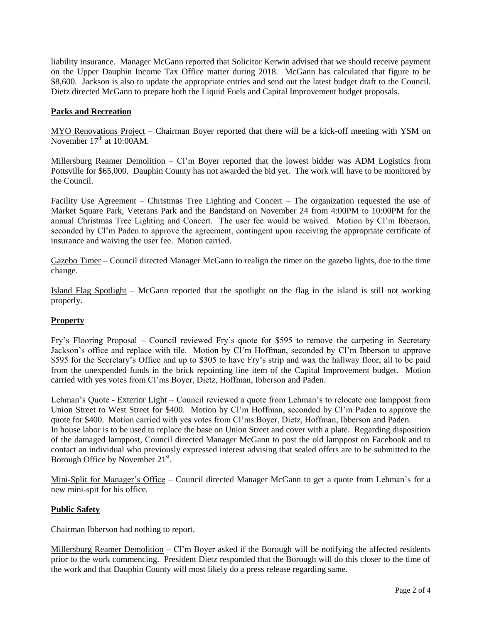liability insurance. Manager McGann reported that Solicitor Kerwin advised that we should receive payment on the Upper Dauphin Income Tax Office matter during 2018. McGann has calculated that figure to be \$8,600. Jackson is also to update the appropriate entries and send out the latest budget draft to the Council. Dietz directed McGann to prepare both the Liquid Fuels and Capital Improvement budget proposals.

# **Parks and Recreation**

MYO Renovations Project – Chairman Boyer reported that there will be a kick-off meeting with YSM on November  $17<sup>th</sup>$  at  $10:00AM$ .

Millersburg Reamer Demolition – Cl'm Boyer reported that the lowest bidder was ADM Logistics from Pottsville for \$65,000. Dauphin County has not awarded the bid yet. The work will have to be monitored by the Council.

Facility Use Agreement – Christmas Tree Lighting and Concert – The organization requested the use of Market Square Park, Veterans Park and the Bandstand on November 24 from 4:00PM to 10:00PM for the annual Christmas Tree Lighting and Concert. The user fee would be waived. Motion by Cl'm Ibberson, seconded by Cl'm Paden to approve the agreement, contingent upon receiving the appropriate certificate of insurance and waiving the user fee. Motion carried.

Gazebo Timer – Council directed Manager McGann to realign the timer on the gazebo lights, due to the time change.

Island Flag Spotlight – McGann reported that the spotlight on the flag in the island is still not working properly.

## **Property**

Fry's Flooring Proposal – Council reviewed Fry's quote for \$595 to remove the carpeting in Secretary Jackson's office and replace with tile. Motion by Cl'm Hoffman, seconded by Cl'm Ibberson to approve \$595 for the Secretary's Office and up to \$305 to have Fry's strip and wax the hallway floor; all to be paid from the unexpended funds in the brick repointing line item of the Capital Improvement budget. Motion carried with yes votes from Cl'ms Boyer, Dietz, Hoffman, Ibberson and Paden.

Lehman's Quote - Exterior Light – Council reviewed a quote from Lehman's to relocate one lamppost from Union Street to West Street for \$400. Motion by Cl'm Hoffman, seconded by Cl'm Paden to approve the quote for \$400. Motion carried with yes votes from Cl'ms Boyer, Dietz, Hoffman, Ibberson and Paden. In house labor is to be used to replace the base on Union Street and cover with a plate. Regarding disposition of the damaged lamppost, Council directed Manager McGann to post the old lamppost on Facebook and to contact an individual who previously expressed interest advising that sealed offers are to be submitted to the Borough Office by November 21<sup>st</sup>.

Mini-Split for Manager's Office - Council directed Manager McGann to get a quote from Lehman's for a new mini-spit for his office.

# **Public Safety**

Chairman Ibberson had nothing to report.

Millersburg Reamer Demolition – Cl'm Boyer asked if the Borough will be notifying the affected residents prior to the work commencing. President Dietz responded that the Borough will do this closer to the time of the work and that Dauphin County will most likely do a press release regarding same.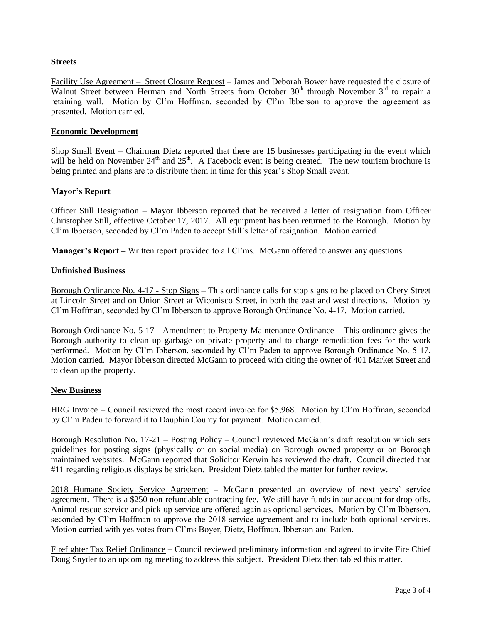# **Streets**

Facility Use Agreement – Street Closure Request – James and Deborah Bower have requested the closure of Walnut Street between Herman and North Streets from October  $30<sup>th</sup>$  through November  $3<sup>rd</sup>$  to repair a retaining wall. Motion by Cl'm Hoffman, seconded by Cl'm Ibberson to approve the agreement as presented. Motion carried.

### **Economic Development**

Shop Small Event – Chairman Dietz reported that there are 15 businesses participating in the event which will be held on November  $24<sup>th</sup>$  and  $25<sup>th</sup>$ . A Facebook event is being created. The new tourism brochure is being printed and plans are to distribute them in time for this year's Shop Small event.

#### **Mayor's Report**

Officer Still Resignation – Mayor Ibberson reported that he received a letter of resignation from Officer Christopher Still, effective October 17, 2017. All equipment has been returned to the Borough. Motion by Cl'm Ibberson, seconded by Cl'm Paden to accept Still's letter of resignation. Motion carried.

**Manager's Report –** Written report provided to all Cl'ms. McGann offered to answer any questions.

#### **Unfinished Business**

Borough Ordinance No. 4-17 - Stop Signs – This ordinance calls for stop signs to be placed on Chery Street at Lincoln Street and on Union Street at Wiconisco Street, in both the east and west directions. Motion by Cl'm Hoffman, seconded by Cl'm Ibberson to approve Borough Ordinance No. 4-17. Motion carried.

Borough Ordinance No. 5-17 - Amendment to Property Maintenance Ordinance – This ordinance gives the Borough authority to clean up garbage on private property and to charge remediation fees for the work performed. Motion by Cl'm Ibberson, seconded by Cl'm Paden to approve Borough Ordinance No. 5-17. Motion carried. Mayor Ibberson directed McGann to proceed with citing the owner of 401 Market Street and to clean up the property.

#### **New Business**

HRG Invoice – Council reviewed the most recent invoice for \$5,968. Motion by Cl'm Hoffman, seconded by Cl'm Paden to forward it to Dauphin County for payment. Motion carried.

Borough Resolution No. 17-21 – Posting Policy – Council reviewed McGann's draft resolution which sets guidelines for posting signs (physically or on social media) on Borough owned property or on Borough maintained websites. McGann reported that Solicitor Kerwin has reviewed the draft. Council directed that #11 regarding religious displays be stricken. President Dietz tabled the matter for further review.

2018 Humane Society Service Agreement – McGann presented an overview of next years' service agreement. There is a \$250 non-refundable contracting fee. We still have funds in our account for drop-offs. Animal rescue service and pick-up service are offered again as optional services. Motion by Cl'm Ibberson, seconded by Cl'm Hoffman to approve the 2018 service agreement and to include both optional services. Motion carried with yes votes from Cl'ms Boyer, Dietz, Hoffman, Ibberson and Paden.

Firefighter Tax Relief Ordinance – Council reviewed preliminary information and agreed to invite Fire Chief Doug Snyder to an upcoming meeting to address this subject. President Dietz then tabled this matter.